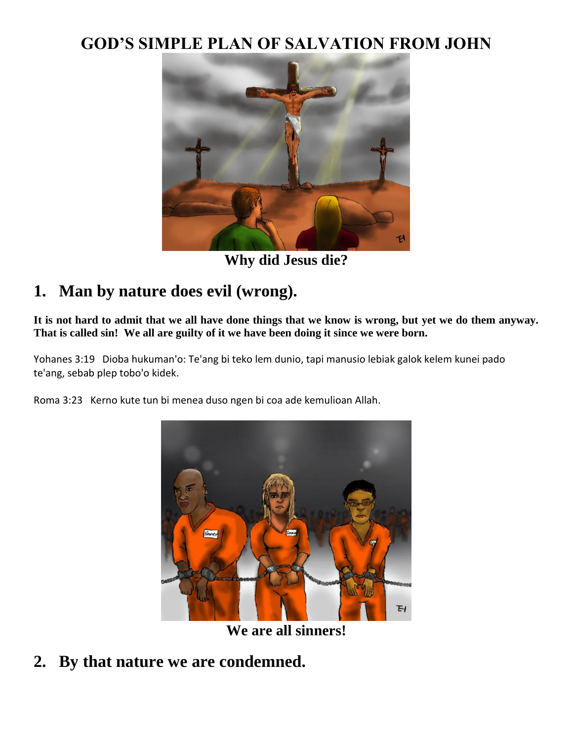### **GOD'S SIMPLE PLAN OF SALVATION FROM JOHN**



**Why did Jesus die?**

# **1. Man by nature does evil (wrong).**

**It is not hard to admit that we all have done things that we know is wrong, but yet we do them anyway. That is called sin! We all are guilty of it we have been doing it since we were born.**

Yohanes 3:19 Dioba hukuman'o: Te'ang bi teko lem dunio, tapi manusio lebiak galok kelem kunei pado te'ang, sebab plep tobo'o kidek.

Roma 3:23 Kerno kute tun bi menea duso ngen bi coa ade kemulioan Allah.



**We are all sinners!**

**2. By that nature we are condemned.**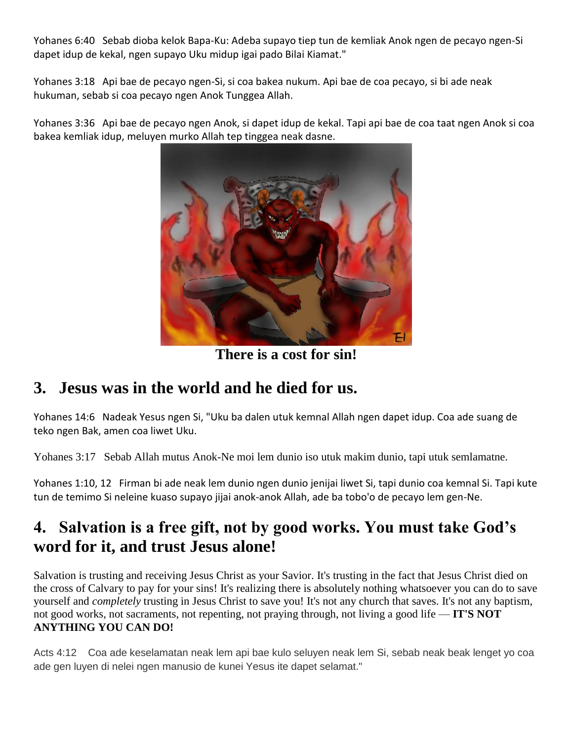Yohanes 6:40 Sebab dioba kelok Bapa-Ku: Adeba supayo tiep tun de kemliak Anok ngen de pecayo ngen-Si dapet idup de kekal, ngen supayo Uku midup igai pado Bilai Kiamat."

Yohanes 3:18 Api bae de pecayo ngen-Si, si coa bakea nukum. Api bae de coa pecayo, si bi ade neak hukuman, sebab si coa pecayo ngen Anok Tunggea Allah.

Yohanes 3:36 Api bae de pecayo ngen Anok, si dapet idup de kekal. Tapi api bae de coa taat ngen Anok si coa bakea kemliak idup, meluyen murko Allah tep tinggea neak dasne.



**There is a cost for sin!**

### **3. Jesus was in the world and he died for us.**

Yohanes 14:6 Nadeak Yesus ngen Si, "Uku ba dalen utuk kemnal Allah ngen dapet idup. Coa ade suang de teko ngen Bak, amen coa liwet Uku.

Yohanes 3:17Sebab Allah mutus Anok-Ne moi lem dunio iso utuk makim dunio, tapi utuk semlamatne.

Yohanes 1:10, 12 Firman bi ade neak lem dunio ngen dunio jenijai liwet Si, tapi dunio coa kemnal Si. Tapi kute tun de temimo Si neleine kuaso supayo jijai anok-anok Allah, ade ba tobo'o de pecayo lem gen-Ne.

# **4. Salvation is a free gift, not by good works. You must take God's word for it, and trust Jesus alone!**

Salvation is trusting and receiving Jesus Christ as your Savior. It's trusting in the fact that Jesus Christ died on the cross of Calvary to pay for your sins! It's realizing there is absolutely nothing whatsoever you can do to save yourself and *completely* trusting in Jesus Christ to save you! It's not any church that saves. It's not any baptism, not good works, not sacraments, not repenting, not praying through, not living a good life — **IT'S NOT ANYTHING YOU CAN DO!**

Acts 4:12 Coa ade keselamatan neak lem api bae kulo seluyen neak lem Si, sebab neak beak lenget yo coa ade gen luyen di nelei ngen manusio de kunei Yesus ite dapet selamat."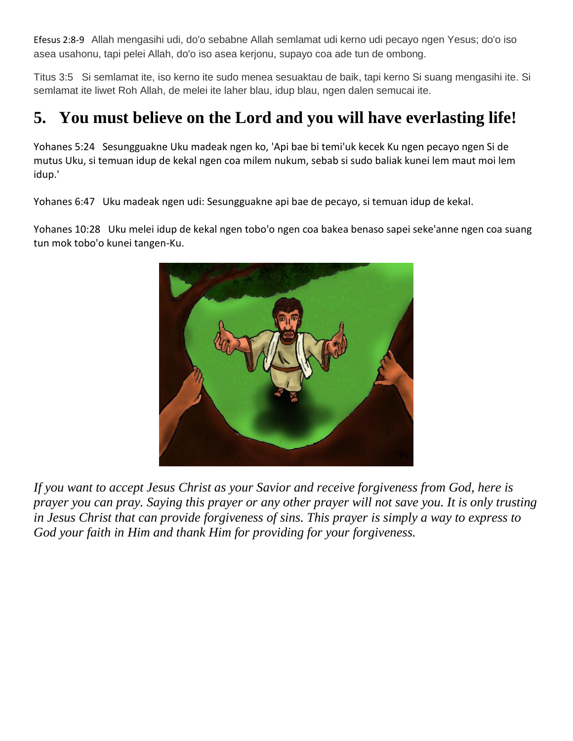Efesus 2:8-9 Allah mengasihi udi, do'o sebabne Allah semlamat udi kerno udi pecayo ngen Yesus; do'o iso asea usahonu, tapi pelei Allah, do'o iso asea kerjonu, supayo coa ade tun de ombong.

Titus 3:5 Si semlamat ite, iso kerno ite sudo menea sesuaktau de baik, tapi kerno Si suang mengasihi ite. Si semlamat ite liwet Roh Allah, de melei ite laher blau, idup blau, ngen dalen semucai ite.

# **5. You must believe on the Lord and you will have everlasting life!**

Yohanes 5:24 Sesungguakne Uku madeak ngen ko, 'Api bae bi temi'uk kecek Ku ngen pecayo ngen Si de mutus Uku, si temuan idup de kekal ngen coa milem nukum, sebab si sudo baliak kunei lem maut moi lem idup.'

Yohanes 6:47 Uku madeak ngen udi: Sesungguakne api bae de pecayo, si temuan idup de kekal.

Yohanes 10:28 Uku melei idup de kekal ngen tobo'o ngen coa bakea benaso sapei seke'anne ngen coa suang tun mok tobo'o kunei tangen-Ku.



*If you want to accept Jesus Christ as your Savior and receive forgiveness from God, here is prayer you can pray. Saying this prayer or any other prayer will not save you. It is only trusting in Jesus Christ that can provide forgiveness of sins. This prayer is simply a way to express to God your faith in Him and thank Him for providing for your forgiveness.*